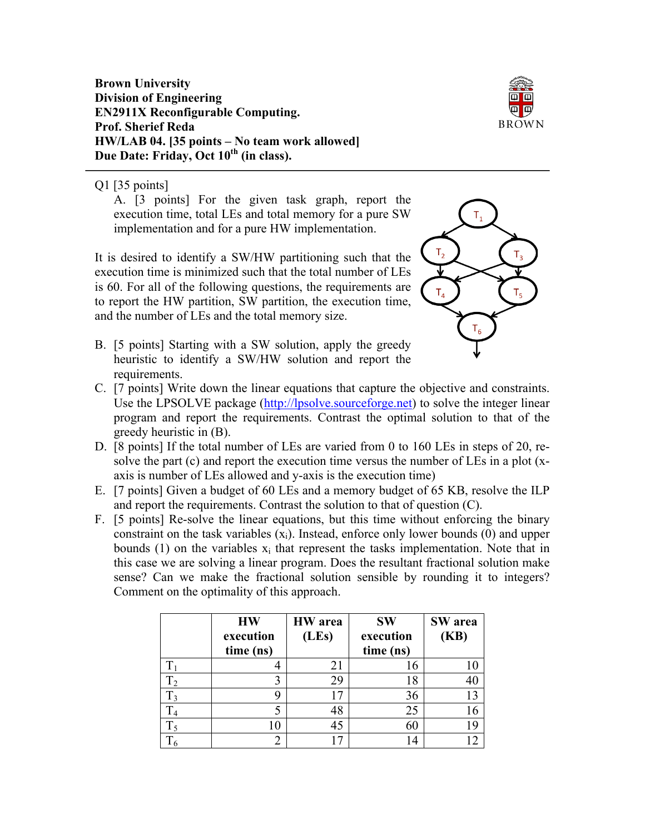**Brown University Division of Engineering EN2911X Reconfigurable Computing. Prof. Sherief Reda HW/LAB 04. [35 points – No team work allowed]** Due Date: Friday, Oct  $10^{th}$  (in class).



## Q1 [35 points]

A. [3 points] For the given task graph, report the execution time, total LEs and total memory for a pure SW implementation and for a pure HW implementation.

It is desired to identify a SW/HW partitioning such that the execution time is minimized such that the total number of LEs is 60. For all of the following questions, the requirements are to report the HW partition, SW partition, the execution time, and the number of LEs and the total memory size.

- $T<sub>2</sub>$  $T_{\rm A}$
- B. [5 points] Starting with a SW solution, apply the greedy heuristic to identify a SW/HW solution and report the requirements.
- C. [7 points] Write down the linear equations that capture the objective and constraints. Use the LPSOLVE package (http://lpsolve.sourceforge.net) to solve the integer linear program and report the requirements. Contrast the optimal solution to that of the greedy heuristic in (B).
- D. [8 points] If the total number of LEs are varied from 0 to 160 LEs in steps of 20, resolve the part (c) and report the execution time versus the number of LEs in a plot (xaxis is number of LEs allowed and y-axis is the execution time)
- E. [7 points] Given a budget of 60 LEs and a memory budget of 65 KB, resolve the ILP and report the requirements. Contrast the solution to that of question (C).
- F. [5 points] Re-solve the linear equations, but this time without enforcing the binary constraint on the task variables  $(x_i)$ . Instead, enforce only lower bounds (0) and upper bounds (1) on the variables  $x_i$  that represent the tasks implementation. Note that in this case we are solving a linear program. Does the resultant fractional solution make sense? Can we make the fractional solution sensible by rounding it to integers? Comment on the optimality of this approach.

|                | <b>HW</b><br>execution<br>time (ns) | <b>HW</b> area<br>(LEs) | <b>SW</b><br>execution<br>time (ns) | SW area<br>(KB) |
|----------------|-------------------------------------|-------------------------|-------------------------------------|-----------------|
|                |                                     | 21                      | 16                                  |                 |
| T <sub>2</sub> |                                     | 29                      | 18                                  |                 |
| $T_3$          |                                     |                         | 36                                  |                 |
|                |                                     | 48                      | 25                                  | 16              |
| $T_5$          | 10                                  | 45                      | 60                                  | 19              |
|                |                                     |                         | $\overline{4}$                      |                 |